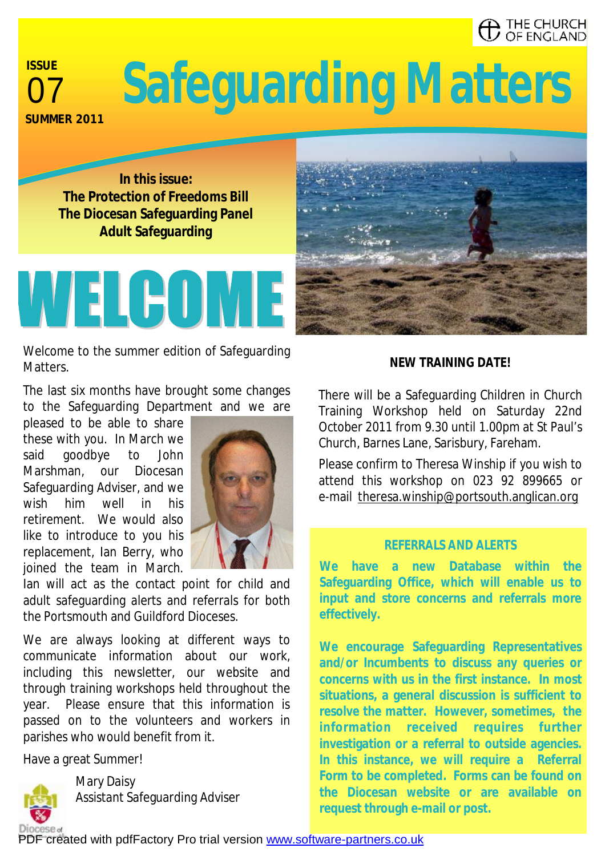# THE CHURCH<br>' OF ENGLAND

# **ISSUE SUMMER 2011**

# <sup>07</sup>**Safeguarding Matters**

**In this issue: The Protection of Freedoms Bill The Diocesan Safeguarding Panel Adult Safeguarding** 



Welcome to the summer edition of Safeguarding Matters.

The last six months have brought some changes to the Safeguarding Department and we are

pleased to be able to share these with you. In March we said goodbye to John Marshman, our Diocesan Safeguarding Adviser, and we wish him well in his retirement. We would also like to introduce to you his replacement, Ian Berry, who joined the team in March.



Ian will act as the contact point for child and adult safeguarding alerts and referrals for both the Portsmouth and Guildford Dioceses.

We are always looking at different ways to communicate information about our work, including this newsletter, our website and through training workshops held throughout the year. Please ensure that this information is passed on to the volunteers and workers in parishes who would benefit from it.

Have a great Summer!



Mary Daisy Assistant Safeguarding Adviser

#### *NEW TRAINING DATE!*

There will be a Safeguarding Children in Church Training Workshop held on Saturday 22nd October 2011 from 9.30 until 1.00pm at St Paul's Church, Barnes Lane, Sarisbury, Fareham.

Please confirm to Theresa Winship if you wish to attend this workshop on 023 92 899665 or e-mail [theresa.winship@portsouth.anglican.org](mailto:theresa.winship@portsouth.anglican.org)

#### *REFERRALS AND ALERTS*

**We have a new Database within the Safeguarding Office, which will enable us to input and store concerns and referrals more effectively.** 

**We encourage Safeguarding Representatives and/or Incumbents to discuss any queries or concerns with us in the first instance. In most situations, a general discussion is sufficient to resolve the matter. However, sometimes, the information received requires further investigation or a referral to outside agencies. In this instance, we will require a Referral Form to be completed. Forms can be found on the Diocesan website or are available on request through e-mail or post.**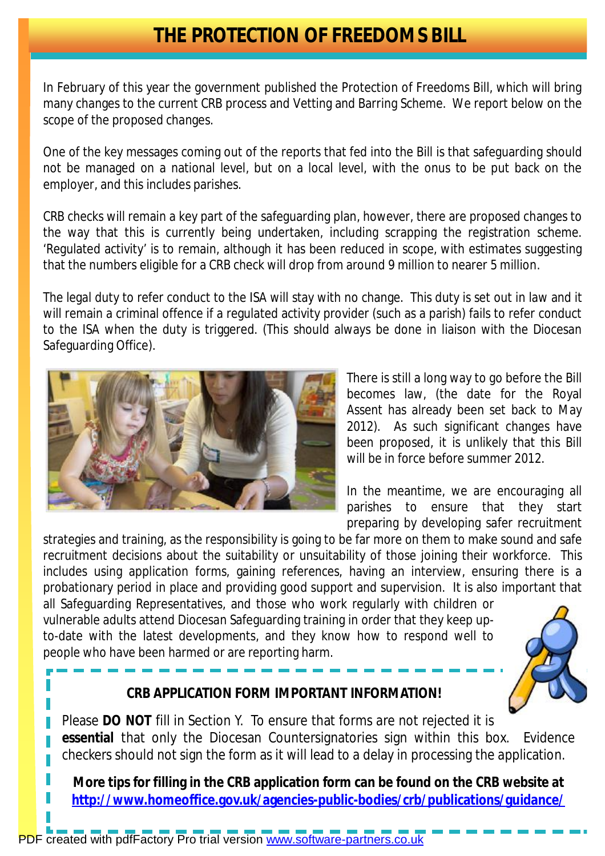### **THE PROTECTION OF FREEDOMS BILL**

In February of this year the government published the Protection of Freedoms Bill, which will bring many changes to the current CRB process and Vetting and Barring Scheme. We report below on the scope of the proposed changes.

One of the key messages coming out of the reports that fed into the Bill is that safeguarding should not be managed on a national level, but on a local level, with the onus to be put back on the employer, and this includes parishes.

CRB checks will remain a key part of the safeguarding plan, however, there are proposed changes to the way that this is currently being undertaken, including scrapping the registration scheme. 'Regulated activity' is to remain, although it has been reduced in scope, with estimates suggesting that the numbers eligible for a CRB check will drop from around 9 million to nearer 5 million.

The legal duty to refer conduct to the ISA will stay with no change. This duty is set out in law and it will remain a criminal offence if a regulated activity provider (such as a parish) fails to refer conduct to the ISA when the duty is triggered. (This should always be done in liaison with the Diocesan Safeguarding Office).



There is still a long way to go before the Bill becomes law, (the date for the Royal Assent has already been set back to May 2012). As such significant changes have been proposed, it is unlikely that this Bill will be in force before summer 2012.

In the meantime, we are encouraging all parishes to ensure that they start preparing by developing safer recruitment

strategies and training, as the responsibility is going to be far more on them to make sound and safe recruitment decisions about the suitability or unsuitability of those joining their workforce. This includes using application forms, gaining references, having an interview, ensuring there is a probationary period in place and providing good support and supervision. It is also important that

all Safeguarding Representatives, and those who work regularly with children or vulnerable adults attend Diocesan Safeguarding training in order that they keep upto-date with the latest developments, and they know how to respond well to people who have been harmed or are reporting harm.



#### **CRB APPLICATION FORM IMPORTANT INFORMATION!**

Please **DO NOT** fill in Section Y. To ensure that forms are not rejected it is **essential** that only the Diocesan Countersignatories sign within this box. Evidence checkers should not sign the form as it will lead to a delay in processing the application.

**More tips for filling in the CRB application form can be found on the CRB website at <http://www.homeoffice.gov.uk/agencies-public-bodies/crb/publications/guidance/>**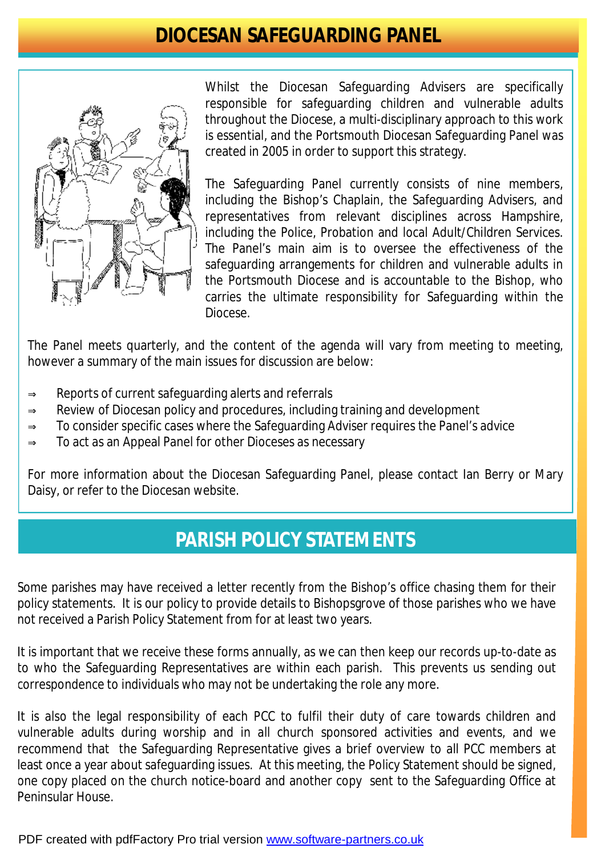### **DIOCESAN SAFEGUARDING PANEL**



Whilst the Diocesan Safeguarding Advisers are specifically responsible for safeguarding children and vulnerable adults throughout the Diocese, a multi-disciplinary approach to this work is essential, and the Portsmouth Diocesan Safeguarding Panel was created in 2005 in order to support this strategy.

The Safeguarding Panel currently consists of nine members, including the Bishop's Chaplain, the Safeguarding Advisers, and representatives from relevant disciplines across Hampshire, including the Police, Probation and local Adult/Children Services. The Panel's main aim is to oversee the effectiveness of the safeguarding arrangements for children and vulnerable adults in the Portsmouth Diocese and is accountable to the Bishop, who carries the ultimate responsibility for Safeguarding within the Diocese.

The Panel meets quarterly, and the content of the agenda will vary from meeting to meeting, however a summary of the main issues for discussion are below:

- ⇒ Reports of current safeguarding alerts and referrals
- ⇒ Review of Diocesan policy and procedures, including training and development
- $\Rightarrow$  To consider specific cases where the Safeguarding Adviser requires the Panel's advice
- ⇒ To act as an Appeal Panel for other Dioceses as necessary

For more information about the Diocesan Safeguarding Panel, please contact Ian Berry or Mary Daisy, or refer to the Diocesan website.

## **PARISH POLICY STATEMENTS**

Some parishes may have received a letter recently from the Bishop's office chasing them for their policy statements. It is our policy to provide details to Bishopsgrove of those parishes who we have not received a Parish Policy Statement from for at least two years.

It is important that we receive these forms annually, as we can then keep our records up-to-date as to who the Safeguarding Representatives are within each parish. This prevents us sending out correspondence to individuals who may not be undertaking the role any more.

It is also the legal responsibility of each PCC to fulfil their duty of care towards children and vulnerable adults during worship and in all church sponsored activities and events, and we recommend that the Safeguarding Representative gives a brief overview to all PCC members at least once a year about safeguarding issues. At this meeting, the Policy Statement should be signed, one copy placed on the church notice-board and another copy sent to the Safeguarding Office at Peninsular House.

PDF created with pdfFactory Pro trial version [www.software-partners.co.uk](http://www.software-partners.co.uk)